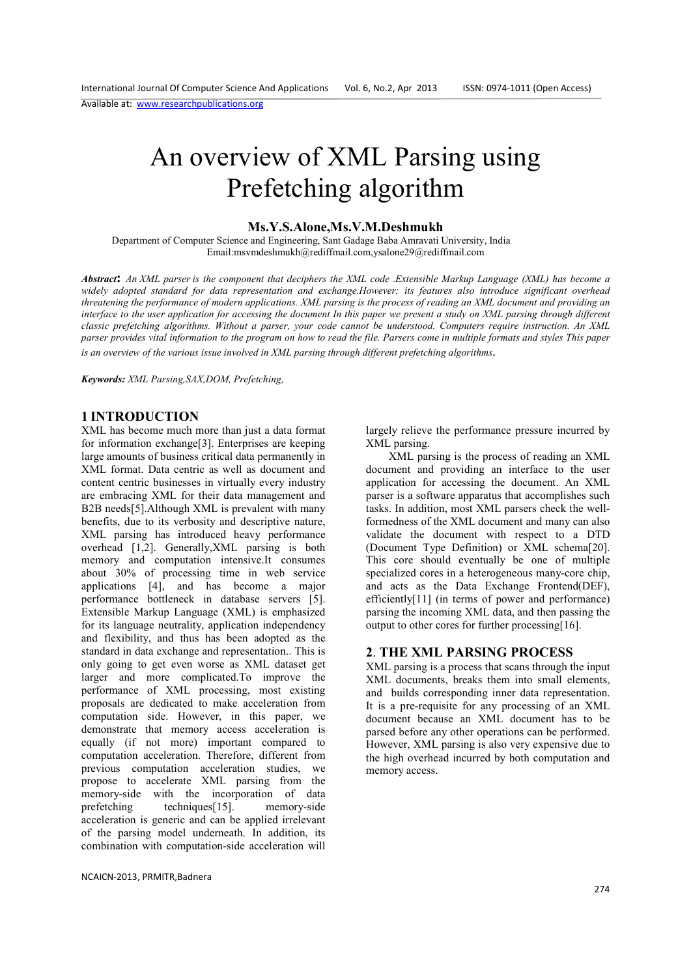# An overview of XML Parsing using Prefetching algorithm

#### **Ms.Y.S.Alone,Ms.V.M.Deshmukh**

 Department of Computer Science and Engineering, Sant Gadage Baba Amravati University, India Email:msvmdeshmukh@rediffmail.com,ysalone29@rediffmail.com

*Abstract***:** *An XML parser is the component that deciphers the XML code .Extensible Markup Language (XML) has become a widely adopted standard for data representation and exchange.However; its features also introduce significant overhead threatening the performance of modern applications. XML parsing is the process of reading an XML document and providing an interface to the user application for accessing the document In this paper we present a study on XML parsing through different classic prefetching algorithms. Without a parser, your code cannot be understood. Computers require instruction. An XML parser provides vital information to the program on how to read the file. Parsers come in multiple formats and styles This paper is an overview of the various issue involved in XML parsing through different prefetching algorithms*.

*Keywords: XML Parsing,SAX,DOM, Prefetching,* 

#### **1 INTRODUCTION**

XML has become much more than just a data format for information exchange[3]. Enterprises are keeping large amounts of business critical data permanently in XML format. Data centric as well as document and content centric businesses in virtually every industry are embracing XML for their data management and B2B needs[5].Although XML is prevalent with many benefits, due to its verbosity and descriptive nature, XML parsing has introduced heavy performance overhead [1,2]. Generally,XML parsing is both memory and computation intensive.It consumes about 30% of processing time in web service applications [4], and has become a major performance bottleneck in database servers [5]. Extensible Markup Language (XML) is emphasized for its language neutrality, application independency and flexibility, and thus has been adopted as the standard in data exchange and representation.. This is only going to get even worse as XML dataset get larger and more complicated.To improve the performance of XML processing, most existing proposals are dedicated to make acceleration from computation side. However, in this paper, we demonstrate that memory access acceleration is equally (if not more) important compared to computation acceleration. Therefore, different from previous computation acceleration studies, we propose to accelerate XML parsing from the memory-side with the incorporation of data prefetching techniques[15]. memory-side acceleration is generic and can be applied irrelevant of the parsing model underneath. In addition, its combination with computation-side acceleration will

NCAICN-2013, PRMITR,Badnera

largely relieve the performance pressure incurred by XML parsing.

 XML parsing is the process of reading an XML document and providing an interface to the user application for accessing the document. An XML parser is a software apparatus that accomplishes such tasks. In addition, most XML parsers check the wellformedness of the XML document and many can also validate the document with respect to a DTD (Document Type Definition) or XML schema[20]. This core should eventually be one of multiple specialized cores in a heterogeneous many-core chip, and acts as the Data Exchange Frontend(DEF), efficiently[11] (in terms of power and performance) parsing the incoming XML data, and then passing the output to other cores for further processing[16].

#### **2**. **THE XML PARSING PROCESS**

XML parsing is a process that scans through the input XML documents, breaks them into small elements, and builds corresponding inner data representation. It is a pre-requisite for any processing of an XML document because an XML document has to be parsed before any other operations can be performed. However, XML parsing is also very expensive due to the high overhead incurred by both computation and memory access.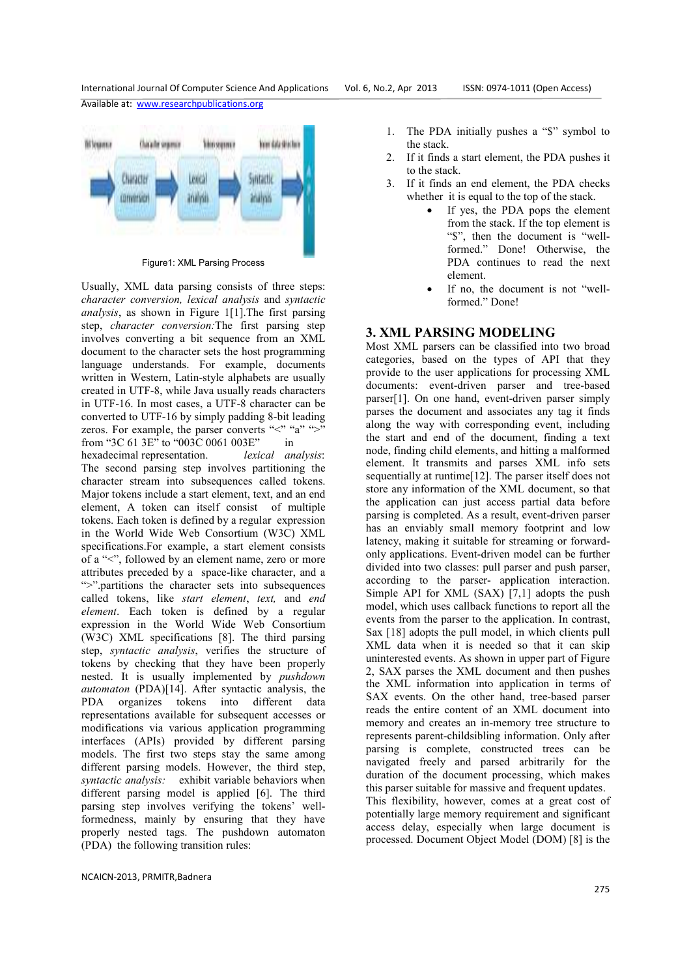fillouna. thinkly separate **Mosquau** Your data drivels svirache *<u>Burante</u>* terra and rat **Paints LUTHER SCHOOL** 

Figure1: XML Parsing Process

Usually, XML data parsing consists of three steps: *character conversion, lexical analysis* and *syntactic analysis*, as shown in Figure 1[1].The first parsing step, *character conversion:*The first parsing step involves converting a bit sequence from an XML document to the character sets the host programming language understands. For example, documents written in Western, Latin-style alphabets are usually created in UTF-8, while Java usually reads characters in UTF-16. In most cases, a UTF-8 character can be converted to UTF-16 by simply padding 8-bit leading zeros. For example, the parser converts "<" "a" ">" from "3C 61 3E" to "003C 0061 003E" in hexadecimal representation. *lexical analysis*: The second parsing step involves partitioning the character stream into subsequences called tokens. Major tokens include a start element, text, and an end element, A token can itself consist of multiple tokens. Each token is defined by a regular expression in the World Wide Web Consortium (W3C) XML specifications.For example, a start element consists of a "<", followed by an element name, zero or more attributes preceded by a space-like character, and a ">".partitions the character sets into subsequences called tokens, like *start element*, *text,* and *end element*. Each token is defined by a regular expression in the World Wide Web Consortium (W3C) XML specifications [8]. The third parsing step, *syntactic analysis*, verifies the structure of tokens by checking that they have been properly nested. It is usually implemented by *pushdown automaton* (PDA)[14]. After syntactic analysis, the PDA organizes tokens into different data representations available for subsequent accesses or modifications via various application programming interfaces (APIs) provided by different parsing models. The first two steps stay the same among different parsing models. However, the third step, *syntactic analysis:* exhibit variable behaviors when different parsing model is applied [6]. The third parsing step involves verifying the tokens' wellformedness, mainly by ensuring that they have properly nested tags. The pushdown automaton (PDA) the following transition rules:

- 1. The PDA initially pushes a "\$" symbol to the stack.
- 2. If it finds a start element, the PDA pushes it to the stack.
- 3. If it finds an end element, the PDA checks whether it is equal to the top of the stack.
	- If yes, the PDA pops the element from the stack. If the top element is "\$", then the document is "wellformed." Done! Otherwise, the PDA continues to read the next element.
	- If no, the document is not "wellformed." Done!

#### **3. XML PARSING MODELING**

Most XML parsers can be classified into two broad categories, based on the types of API that they provide to the user applications for processing XML documents: event-driven parser and tree-based parser[1]. On one hand, event-driven parser simply parses the document and associates any tag it finds along the way with corresponding event, including the start and end of the document, finding a text node, finding child elements, and hitting a malformed element. It transmits and parses XML info sets sequentially at runtime[12]. The parser itself does not store any information of the XML document, so that the application can just access partial data before parsing is completed. As a result, event-driven parser has an enviably small memory footprint and low latency, making it suitable for streaming or forwardonly applications. Event-driven model can be further divided into two classes: pull parser and push parser, according to the parser- application interaction. Simple API for XML (SAX) [7,1] adopts the push model, which uses callback functions to report all the events from the parser to the application. In contrast, Sax [18] adopts the pull model, in which clients pull XML data when it is needed so that it can skip uninterested events. As shown in upper part of Figure 2, SAX parses the XML document and then pushes the XML information into application in terms of SAX events. On the other hand, tree-based parser reads the entire content of an XML document into memory and creates an in-memory tree structure to represents parent-childsibling information. Only after parsing is complete, constructed trees can be navigated freely and parsed arbitrarily for the duration of the document processing, which makes this parser suitable for massive and frequent updates. This flexibility, however, comes at a great cost of potentially large memory requirement and significant access delay, especially when large document is processed. Document Object Model (DOM) [8] is the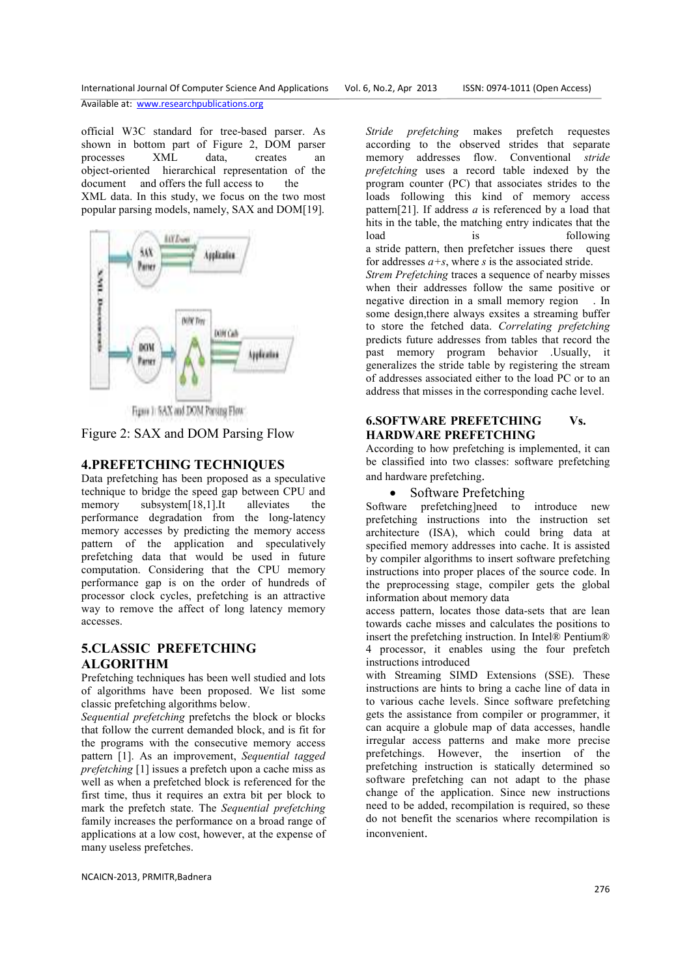official W3C standard for tree-based parser. As shown in bottom part of Figure 2, DOM parser processes XML data, creates an object-oriented hierarchical representation of the document and offers the full access to the XML data. In this study, we focus on the two most popular parsing models, namely, SAX and DOM[19].



Figure 3: SAX and DOM Paysing Flow

Figure 2: SAX and DOM Parsing Flow

## **4.PREFETCHING TECHNIQUES**

Data prefetching has been proposed as a speculative technique to bridge the speed gap between CPU and memory subsystem[18,1].It alleviates the performance degradation from the long-latency memory accesses by predicting the memory access pattern of the application and speculatively prefetching data that would be used in future computation. Considering that the CPU memory performance gap is on the order of hundreds of processor clock cycles, prefetching is an attractive way to remove the affect of long latency memory accesses.

## **5.CLASSIC PREFETCHING ALGORITHM**

Prefetching techniques has been well studied and lots of algorithms have been proposed. We list some classic prefetching algorithms below.

*Sequential prefetching* prefetchs the block or blocks that follow the current demanded block, and is fit for the programs with the consecutive memory access pattern [1]. As an improvement, *Sequential tagged prefetching* [1] issues a prefetch upon a cache miss as well as when a prefetched block is referenced for the first time, thus it requires an extra bit per block to mark the prefetch state. The *Sequential prefetching*  family increases the performance on a broad range of applications at a low cost, however, at the expense of many useless prefetches.

NCAICN-2013, PRMITR,Badnera

*Stride prefetching* makes prefetch requestes according to the observed strides that separate memory addresses flow. Conventional *stride prefetching* uses a record table indexed by the program counter (PC) that associates strides to the loads following this kind of memory access pattern[21]. If address *a* is referenced by a load that hits in the table, the matching entry indicates that the load is following a stride pattern, then prefetcher issues there quest for addresses  $a + s$ , where  $s$  is the associated stride. *Strem Prefetching* traces a sequence of nearby misses when their addresses follow the same positive or negative direction in a small memory region . In some design,there always exsites a streaming buffer to store the fetched data. *Correlating prefetching*  predicts future addresses from tables that record the past memory program behavior .Usually, it generalizes the stride table by registering the stream of addresses associated either to the load PC or to an address that misses in the corresponding cache level.

#### **6.SOFTWARE PREFETCHING Vs. HARDWARE PREFETCHING**

According to how prefetching is implemented, it can be classified into two classes: software prefetching and hardware prefetching.

## • Software Prefetching

Software prefetching]need to introduce new prefetching instructions into the instruction set architecture (ISA), which could bring data at specified memory addresses into cache. It is assisted by compiler algorithms to insert software prefetching instructions into proper places of the source code. In the preprocessing stage, compiler gets the global information about memory data

access pattern, locates those data-sets that are lean towards cache misses and calculates the positions to insert the prefetching instruction. In Intel® Pentium® 4 processor, it enables using the four prefetch instructions introduced

with Streaming SIMD Extensions (SSE). These instructions are hints to bring a cache line of data in to various cache levels. Since software prefetching gets the assistance from compiler or programmer, it can acquire a globule map of data accesses, handle irregular access patterns and make more precise prefetchings. However, the insertion of the prefetching instruction is statically determined so software prefetching can not adapt to the phase change of the application. Since new instructions need to be added, recompilation is required, so these do not benefit the scenarios where recompilation is inconvenient.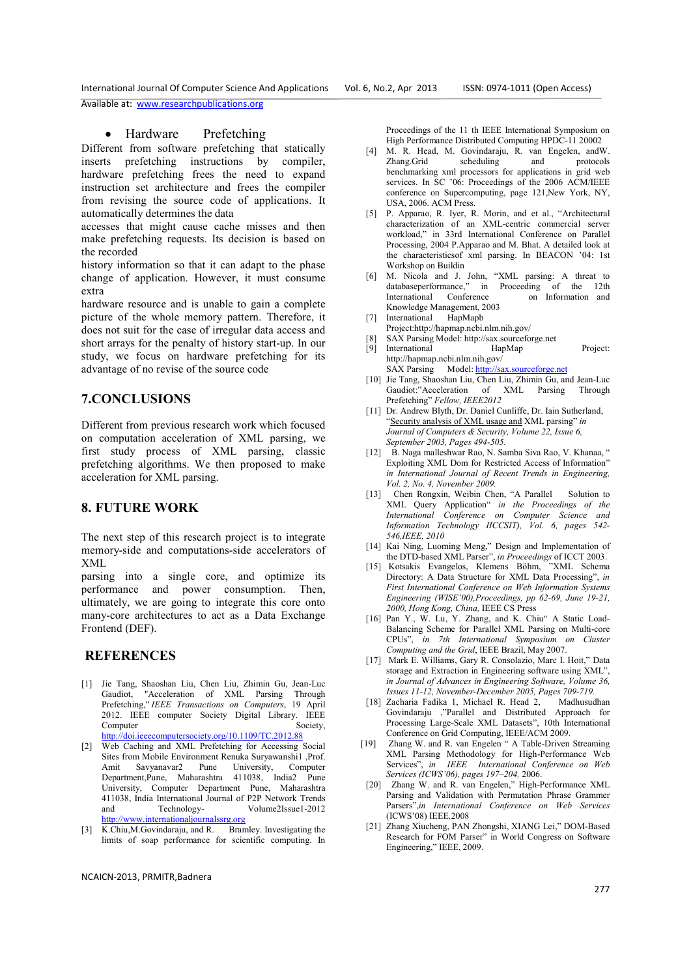International Journal Of Computer Science And Applications Vol. 6, No.2, Apr 2013 ISSN: 0974-1011 (Open Access) Available at: www.researchpublications.org

#### • Hardware Prefetching

Different from software prefetching that statically inserts prefetching instructions by compiler, hardware prefetching frees the need to expand instruction set architecture and frees the compiler from revising the source code of applications. It automatically determines the data

accesses that might cause cache misses and then make prefetching requests. Its decision is based on the recorded

history information so that it can adapt to the phase change of application. However, it must consume extra

hardware resource and is unable to gain a complete picture of the whole memory pattern. Therefore, it does not suit for the case of irregular data access and short arrays for the penalty of history start-up. In our study, we focus on hardware prefetching for its advantage of no revise of the source code

#### **7.CONCLUSIONS**

Different from previous research work which focused on computation acceleration of XML parsing, we first study process of XML parsing, classic prefetching algorithms. We then proposed to make acceleration for XML parsing.

#### **8. FUTURE WORK**

The next step of this research project is to integrate memory-side and computations-side accelerators of XML

parsing into a single core, and optimize its performance and power consumption. Then, ultimately, we are going to integrate this core onto many-core architectures to act as a Data Exchange Frontend (DEF).

#### **REFERENCES**

- [1] Jie Tang, Shaoshan Liu, Chen Liu, Zhimin Gu, Jean-Luc Gaudiot, "Acceleration of XML Parsing Through Prefetching," *IEEE Transactions on Computers*, 19 April 2012. IEEE computer Society Digital Library. IEEE Computer Society, http://doi.ieeecomputersociety.org/10.1109/TC.2012.88
- [2] Web Caching and XML Prefetching for Accessing Social Sites from Mobile Environment Renuka Survawanshi1, Prof. Amit Savyanavar2 Pune University, Computer Department,Pune, Maharashtra 411038, India2 Pune University, Computer Department Pune, Maharashtra 411038, India International Journal of P2P Network Trends and Technology- Volume2Issue1-2012 http://www.internationaljournalssrg.org
- [3] K.Chiu,M.Govindaraju, and R. Bramley. Investigating the limits of soap performance for scientific computing. In

Proceedings of the 11 th IEEE International Symposium on High Performance Distributed Computing HPDC-11 20002

- [4] M. R. Head, M. Govindaraju, R. van Engelen, andW. Zhang.Grid scheduling and benchmarking xml processors for applications in grid web services. In SC '06: Proceedings of the 2006 ACM/IEEE conference on Supercomputing, page 121,New York, NY, USA, 2006. ACM Press.
- [5] P. Apparao, R. Iyer, R. Morin, and et al., "Architectural characterization of an XML-centric commercial server workload," in 33rd International Conference on Parallel Processing, 2004 P.Apparao and M. Bhat. A detailed look at the characteristicsof xml parsing. In BEACON '04: 1st Workshop on Buildin
- [6] M. Nicola and J. John, "XML parsing: A threat to databaseperformance," in Proceeding of the 12th<br>International Conference on Information and International Conference Knowledge Management, 2003
- [7] International HapMaph Project:http://hapmap.ncbi.nlm.nih.gov/
- 
- [8] SAX Parsing Model: http://sax.sourceforge.net International HapMap Project: http://hapmap.ncbi.nlm.nih.gov/
	- SAX Parsing Model: http://sax.sourceforge.net
- [10] Jie Tang, Shaoshan Liu, Chen Liu, Zhimin Gu, and Jean-Luc Gaudiot:"Acceleration of XML Parsing Through Prefetching" *Fellow, IEEE2012*
- [11] Dr. Andrew Blyth, Dr. Daniel Cunliffe, Dr. Iain Sutherland, "Security analysis of XML usage and XML parsing" *in Journal of Computers & Security, Volume 22, Issue 6, September 2003, Pages 494-505.*
- [12] B. Naga malleshwar Rao, N. Samba Siva Rao, V. Khanaa, " Exploiting XML Dom for Restricted Access of Information" *in International Journal of Recent Trends in Engineering, Vol. 2, No. 4, November 2009.*
- [13] Chen Rongxin, Weibin Chen, "A Parallel Solution to XML Query Application" *in the Proceedings of the International Conference on Computer Science and Information Technology IICCSIT), Vol. 6, pages 542- 546,IEEE, 2010*
- [14] Kai Ning, Luoming Meng," Design and Implementation of the DTD-based XML Parser", *in Proceedings* of ICCT 2003.
- $[15]$  Kotsakis Evangelos, Klemens Böhm, Directory: A Data Structure for XML Data Processing", *in First International Conference on Web Information Systems Engineering (WISE'00),Proceedings, pp 62-69, June 19-21, 2000, Hong Kong, China,* IEEE CS Press
- [16] Pan Y., W. Lu, Y. Zhang, and K. Chiu" A Static Load-Balancing Scheme for Parallel XML Parsing on Multi-core CPUs", *in 7th International Symposium on Cluster Computing and the Grid*, IEEE Brazil, May 2007.
- [17] Mark E. Williams, Gary R. Consolazio, Marc I. Hoit," Data storage and Extraction in Engineering software using XML' *in Journal of Advances in Engineering Software, Volume 36, Issues 11-12, November-December 2005, Pages 709-719.*
- [18] Zacharia Fadika 1, Michael R. Head 2, Madhusudhan Govindaraju ,"Parallel and Distributed Approach for Processing Large-Scale XML Datasets", 10th International Conference on Grid Computing, IEEE/ACM 2009.
- [19] Zhang W. and R. van Engelen " A Table-Driven Streaming XML Parsing Methodology for High-Performance Web Services", *in IEEE International Conference on Web Services (ICWS'06), pages 197–204,* 2006.
- [20] Zhang W. and R. van Engelen," High-Performance XML Parsing and Validation with Permutation Phrase Grammer Parsers",*in International Conference on Web Services*  (ICWS'08) IEEE*,*2008
- [21] Zhang Xiucheng, PAN Zhongshi, XIANG Lei," DOM-Based Research for FOM Parser" in World Congress on Software Engineering," IEEE, 2009.